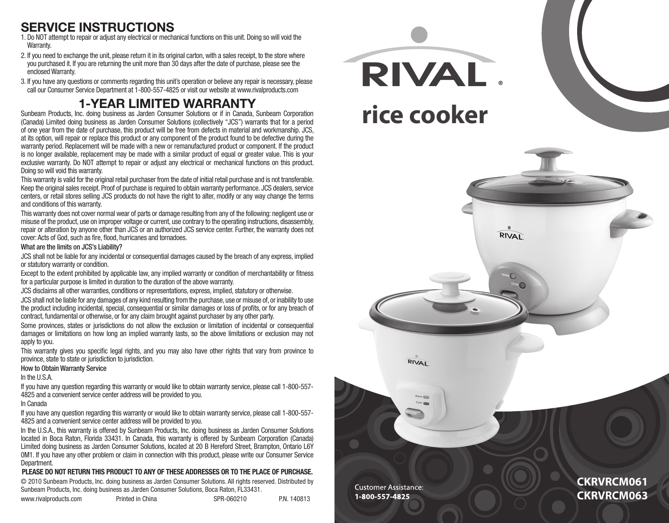## **service instructions**

- 1. Do NOT attempt to repair or adjust any electrical or mechanical functions on this unit. Doing so will void the Warranty.
- 2. If you need to exchange the unit, please return it in its original carton, with a sales receipt, to the store where you purchased it. If you are returning the unit more than 30 days after the date of purchase, please see the enclosed Warranty.
- 3. If you have any questions or comments regarding this unit's operation or believe any repair is necessary, please call our Consumer Service Department at 1-800-557-4825 or visit our website at www.rivalproducts.com

## **1-Year Limited Warranty**

Sunbeam Products, Inc. doing business as Jarden Consumer Solutions or if in Canada, Sunbeam Corporation (Canada) Limited doing business as Jarden Consumer Solutions (collectively "JCS") warrants that for a period of one year from the date of purchase, this product will be free from defects in material and workmanship. JCS, at its option, will repair or replace this product or any component of the product found to be defective during the warranty period. Replacement will be made with a new or remanufactured product or component. If the product is no longer available, replacement may be made with a similar product of equal or greater value. This is your exclusive warranty. Do NOT attempt to repair or adjust any electrical or mechanical functions on this product. Doing so will void this warranty.

This warranty is valid for the original retail purchaser from the date of initial retail purchase and is not transferable. Keep the original sales receipt. Proof of purchase is required to obtain warranty performance. JCS dealers, service centers, or retail stores selling JCS products do not have the right to alter, modify or any way change the terms and conditions of this warranty.

This warranty does not cover normal wear of parts or damage resulting from any of the following: negligent use or misuse of the product, use on improper voltage or current, use contrary to the operating instructions, disassembly, repair or alteration by anyone other than JCS or an authorized JCS service center. Further, the warranty does not cover: Acts of God, such as fire, flood, hurricanes and tornadoes.

### What are the limits on JCS's Liability?

JCS shall not be liable for any incidental or consequential damages caused by the breach of any express, implied or statutory warranty or condition.

Except to the extent prohibited by applicable law, any implied warranty or condition of merchantability or fitness for a particular purpose is limited in duration to the duration of the above warranty.

JCS disclaims all other warranties, conditions or representations, express, implied, statutory or otherwise. JCS shall not be liable for any damages of any kind resulting from the purchase, use or misuse of, or inability to use the product including incidental, special, consequential or similar damages or loss of profits, or for any breach of contract, fundamental or otherwise, or for any claim brought against purchaser by any other party.

Some provinces, states or jurisdictions do not allow the exclusion or limitation of incidental or consequential damages or limitations on how long an implied warranty lasts, so the above limitations or exclusion may not apply to you.

This warranty gives you specific legal rights, and you may also have other rights that vary from province to province, state to state or jurisdiction to jurisdiction.

### How to Obtain Warranty Service

### In the U.S.A.

If you have any question regarding this warranty or would like to obtain warranty service, please call 1-800-557- 4825 and a convenient service center address will be provided to you.

#### In Canada

If you have any question regarding this warranty or would like to obtain warranty service, please call 1-800-557- 4825 and a convenient service center address will be provided to you.

In the U.S.A., this warranty is offered by Sunbeam Products, Inc. doing business as Jarden Consumer Solutions located in Boca Raton, Florida 33431. In Canada, this warranty is offered by Sunbeam Corporation (Canada) Limited doing business as Jarden Consumer Solutions, located at 20 B Hereford Street, Brampton, Ontario L6Y 0M1. If you have any other problem or claim in connection with this product, please write our Consumer Service Department.

### **PLEASE DO NOT RETURN THIS PRODUCT TO ANY OF THESE ADDRESSES OR TO THE PLACE OF PURCHASE.**

© 2010 Sunbeam Products, Inc. doing business as Jarden Consumer Solutions. All rights reserved. Distributed by Sunbeam Products, Inc. doing business as Jarden Consumer Solutions, Boca Raton, FL33431.

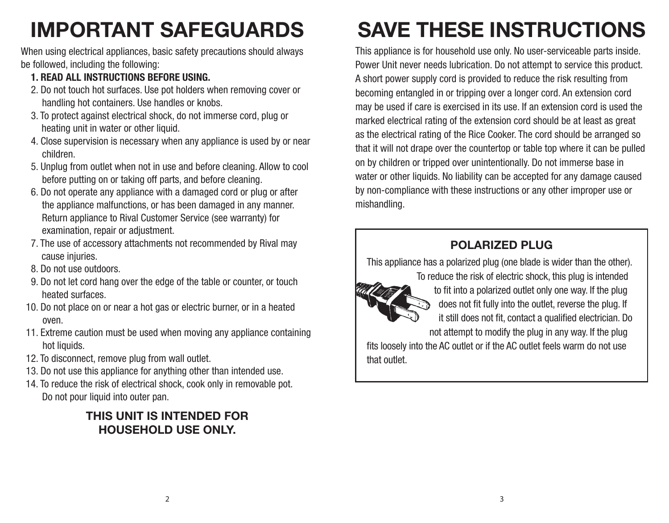# **IMPORTANT SAFEGUARDS**

When using electrical appliances, basic safety precautions should always be followed, including the following:

- **1. Read all instructions before using.**
- 2. Do not touch hot surfaces. Use pot holders when removing cover or handling hot containers. Use handles or knobs.
- 3. To protect against electrical shock, do not immerse cord, plug or heating unit in water or other liquid.
- 4. Close supervision is necessary when any appliance is used by or near children.
- 5. Unplug from outlet when not in use and before cleaning. Allow to cool before putting on or taking off parts, and before cleaning.
- 6. Do not operate any appliance with a damaged cord or plug or after the appliance malfunctions, or has been damaged in any manner. Return appliance to Rival Customer Service (see warranty) for examination, repair or adjustment.
- 7. The use of accessory attachments not recommended by Rival may cause injuries.
- 8. Do not use outdoors.
- 9. Do not let cord hang over the edge of the table or counter, or touch heated surfaces.
- 10. Do not place on or near a hot gas or electric burner, or in a heated oven.
- 11. Extreme caution must be used when moving any appliance containing hot liquids.
- 12. To disconnect, remove plug from wall outlet.
- 13. Do not use this appliance for anything other than intended use.
- 14. To reduce the risk of electrical shock, cook only in removable pot. Do not pour liquid into outer pan.

### **This unit is intended for household use only.**

# **Save these instructions**

This appliance is for household use only. No user-serviceable parts inside. Power Unit never needs lubrication. Do not attempt to service this product. A short power supply cord is provided to reduce the risk resulting from becoming entangled in or tripping over a longer cord. An extension cord may be used if care is exercised in its use. If an extension cord is used the marked electrical rating of the extension cord should be at least as great as the electrical rating of the Rice Cooker. The cord should be arranged so that it will not drape over the countertop or table top where it can be pulled on by children or tripped over unintentionally. Do not immerse base in water or other liquids. No liability can be accepted for any damage caused by non-compliance with these instructions or any other improper use or mishandling.

## **POLARIZED PLUG**

This appliance has a polarized plug (one blade is wider than the other).



To reduce the risk of electric shock, this plug is intended to fit into a polarized outlet only one way. If the plug does not fit fully into the outlet, reverse the plug. If it still does not fit, contact a qualified electrician. Do not attempt to modify the plug in any way. If the plug

fits loosely into the AC outlet or if the AC outlet feels warm do not use that outlet.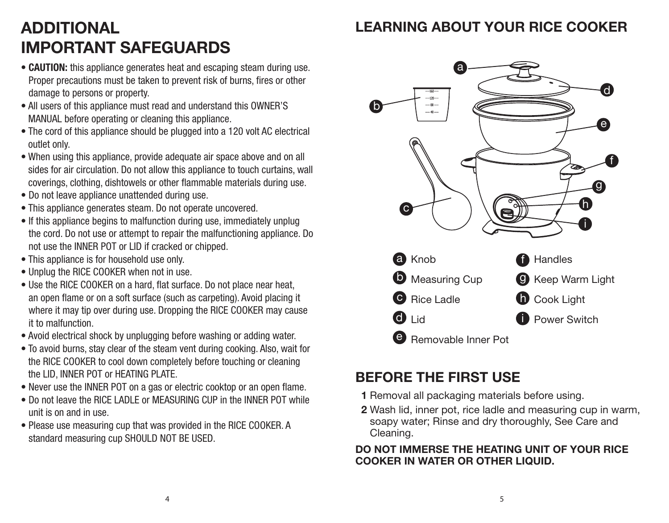## **Learning about your Rice Cooker**

# **additional IMPORTANT SAFEGUARDS**

- **CAUTION:** this appliance generates heat and escaping steam during use. Proper precautions must be taken to prevent risk of burns, fires or other damage to persons or property.
- All users of this appliance must read and understand this OWNER'S MANUAL before operating or cleaning this appliance.
- The cord of this appliance should be plugged into a 120 volt AC electrical outlet only.
- When using this appliance, provide adequate air space above and on all sides for air circulation. Do not allow this appliance to touch curtains, wall coverings, clothing, dishtowels or other flammable materials during use.
- Do not leave appliance unattended during use.
- This appliance generates steam. Do not operate uncovered.
- If this appliance begins to malfunction during use, immediately unplug the cord. Do not use or attempt to repair the malfunctioning appliance. Do not use the INNER POT or LID if cracked or chipped.
- This appliance is for household use only.
- Unplug the RICE COOKER when not in use.
- Use the RICE COOKER on a hard, flat surface. Do not place near heat, an open flame or on a soft surface (such as carpeting). Avoid placing it where it may tip over during use. Dropping the RICE COOKER may cause it to malfunction.
- Avoid electrical shock by unplugging before washing or adding water.
- To avoid burns, stay clear of the steam vent during cooking. Also, wait for the RICE COOKER to cool down completely before touching or cleaning the LID, INNER POT or HEATING PLATE.
- Never use the INNER POT on a gas or electric cooktop or an open flame.
- Do not leave the RICE I ADI F or MEASURING CUP in the INNER POT while unit is on and in use.
- Please use measuring cup that was provided in the RICE COOKER. A standard measuring cup SHOULD NOT BE USED.



## **Before the First Use**

- **1** Removal all packaging materials before using.
- **2** Wash lid, inner pot, rice ladle and measuring cup in warm, soapy water; Rinse and dry thoroughly, See Care and Cleaning.

### **DO NOT IMMERSE THE HEATING UNIT OF YOUR RICE COOKER IN WATER OR OTHER LIQUID.**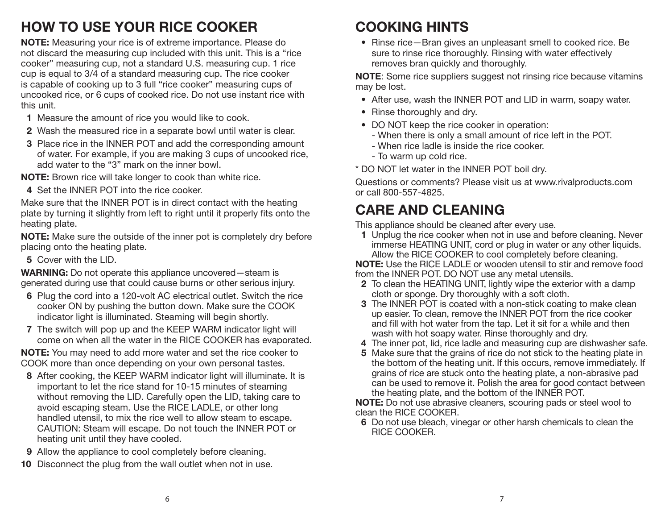## **how to use your rice cooker**

**NOTE:** Measuring your rice is of extreme importance. Please do not discard the measuring cup included with this unit. This is a "rice cooker" measuring cup, not a standard U.S. measuring cup. 1 rice cup is equal to 3/4 of a standard measuring cup. The rice cooker is capable of cooking up to 3 full "rice cooker" measuring cups of uncooked rice, or 6 cups of cooked rice. Do not use instant rice with this unit.

- **1** Measure the amount of rice you would like to cook.
- **2** Wash the measured rice in a separate bowl until water is clear.
- **3** Place rice in the INNER POT and add the corresponding amount of water. For example, if you are making 3 cups of uncooked rice, add water to the "3" mark on the inner bowl.

**NOTE:** Brown rice will take longer to cook than white rice.

**4** Set the INNER POT into the rice cooker.

Make sure that the INNER POT is in direct contact with the heating plate by turning it slightly from left to right until it properly fits onto the heating plate.

**NOTE:** Make sure the outside of the inner pot is completely dry before placing onto the heating plate.

**5** Cover with the LID.

**WARNING:** Do not operate this appliance uncovered—steam is generated during use that could cause burns or other serious injury.

- **6** Plug the cord into a 120-volt AC electrical outlet. Switch the rice cooker ON by pushing the button down. Make sure the COOK indicator light is illuminated. Steaming will begin shortly.
- **7** The switch will pop up and the KEEP WARM indicator light will come on when all the water in the RICE COOKER has evaporated.

**NOTE:** You may need to add more water and set the rice cooker to COOK more than once depending on your own personal tastes.

- **8** After cooking, the KEEP WARM indicator light will illuminate. It is important to let the rice stand for 10-15 minutes of steaming without removing the LID. Carefully open the LID, taking care to avoid escaping steam. Use the RICE LADLE, or other long handled utensil, to mix the rice well to allow steam to escape. CAUTION: Steam will escape. Do not touch the INNER POT or heating unit until they have cooled.
- **9** Allow the appliance to cool completely before cleaning.
- **10** Disconnect the plug from the wall outlet when not in use.

## **cooking HINTS**

• Rinse rice—Bran gives an unpleasant smell to cooked rice. Be sure to rinse rice thoroughly. Rinsing with water effectively removes bran quickly and thoroughly.

**NOTE**: Some rice suppliers suggest not rinsing rice because vitamins may be lost.

- After use, wash the INNER POT and LID in warm, soapy water.
- Rinse thoroughly and dry.
- DO NOT keep the rice cooker in operation:
	- When there is only a small amount of rice left in the POT.
	- When rice ladle is inside the rice cooker.
	- To warm up cold rice.
- \* DO NOT let water in the INNER POT boil dry.

Questions or comments? Please visit us at www.rivalproducts.com or call 800-557-4825.

## **Care and Cleaning**

This appliance should be cleaned after every use.

**1** Unplug the rice cooker when not in use and before cleaning. Never immerse HEATING UNIT, cord or plug in water or any other liquids. Allow the RICE COOKER to cool completely before cleaning.

**NOTE:** Use the RICE LADLE or wooden utensil to stir and remove food from the INNER POT. DO NOT use any metal utensils.

- **2** To clean the HEATING UNIT, lightly wipe the exterior with a damp cloth or sponge. Dry thoroughly with a soft cloth.
- **3** The INNER POT is coated with a non-stick coating to make clean up easier. To clean, remove the INNER POT from the rice cooker and fill with hot water from the tap. Let it sit for a while and then wash with hot soapy water. Rinse thoroughly and dry.
- **4** The inner pot, lid, rice ladle and measuring cup are dishwasher safe.
- **5** Make sure that the grains of rice do not stick to the heating plate in the bottom of the heating unit. If this occurs, remove immediately. If grains of rice are stuck onto the heating plate, a non-abrasive pad can be used to remove it. Polish the area for good contact between the heating plate, and the bottom of the INNER POT.

**NOTE:** Do not use abrasive cleaners, scouring pads or steel wool to clean the RICE COOKER.

**6** Do not use bleach, vinegar or other harsh chemicals to clean the RICE COOKER.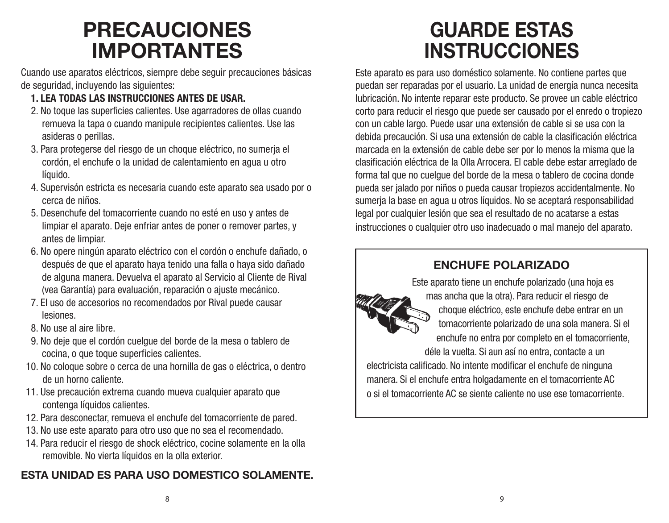# **PRECAUCIONES IMPORTANTES**

Cuando use aparatos eléctricos, siempre debe seguir precauciones básicas de seguridad, incluyendo las siguientes:

- **1. LEA TODAS LAS INSTRUCCIONES ANTES DE USAR.**
- 2. No toque las superficies calientes. Use agarradores de ollas cuando remueva la tapa o cuando manipule recipientes calientes. Use las asideras o perillas.
- 3. Para protegerse del riesgo de un choque eléctrico, no sumerja el cordón, el enchufe o la unidad de calentamiento en agua u otro líquido.
- 4. Supervisón estricta es necesaria cuando este aparato sea usado por o cerca de niños.
- 5. Desenchufe del tomacorriente cuando no esté en uso y antes de limpiar el aparato. Deje enfriar antes de poner o remover partes, y antes de limpiar.
- 6. No opere ningún aparato eléctrico con el cordón o enchufe dañado, o después de que el aparato haya tenido una falla o haya sido dañado de alguna manera. Devuelva el aparato al Servicio al Cliente de Rival (vea Garantía) para evaluación, reparación o ajuste mecánico.
- 7. El uso de accesorios no recomendados por Rival puede causar lesiones.
- 8. No use al aire libre.
- 9. No deje que el cordón cuelgue del borde de la mesa o tablero de cocina, o que toque superficies calientes.
- 10. No coloque sobre o cerca de una hornilla de gas o eléctrica, o dentro de un horno caliente.
- 11. Use precaución extrema cuando mueva cualquier aparato que contenga líquidos calientes.
- 12. Para desconectar, remueva el enchufe del tomacorriente de pared.
- 13. No use este aparato para otro uso que no sea el recomendado.
- 14. Para reducir el riesgo de shock eléctrico, cocine solamente en la olla removible. No vierta líquidos en la olla exterior.

## **ESTA UNIDAD ES PARA USO DOMESTICO SOLAMENTE.**

# **GUARDE ESTAS INSTRUCCIONES**

Este aparato es para uso doméstico solamente. No contiene partes que puedan ser reparadas por el usuario. La unidad de energía nunca necesita lubricación. No intente reparar este producto. Se provee un cable eléctrico corto para reducir el riesgo que puede ser causado por el enredo o tropiezo con un cable largo. Puede usar una extensión de cable si se usa con la debida precaución. Si usa una extensión de cable la clasificación eléctrica marcada en la extensión de cable debe ser por lo menos la misma que la clasificación eléctrica de la Olla Arrocera. El cable debe estar arreglado de forma tal que no cuelgue del borde de la mesa o tablero de cocina donde pueda ser jalado por niños o pueda causar tropiezos accidentalmente. No sumerja la base en agua u otros líquidos. No se aceptará responsabilidad legal por cualquier lesión que sea el resultado de no acatarse a estas instrucciones o cualquier otro uso inadecuado o mal manejo del aparato.

## **ENCHUFE POLARIZADO**



Este aparato tiene un enchufe polarizado (una hoja es mas ancha que la otra). Para reducir el riesgo de choque eléctrico, este enchufe debe entrar en un tomacorriente polarizado de una sola manera. Si el enchufe no entra por completo en el tomacorriente, déle la vuelta. Si aun así no entra, contacte a un electricista calificado. No intente modificar el enchufe de ninguna manera. Si el enchufe entra holgadamente en el tomacorriente AC

o si el tomacorriente AC se siente caliente no use ese tomacorriente.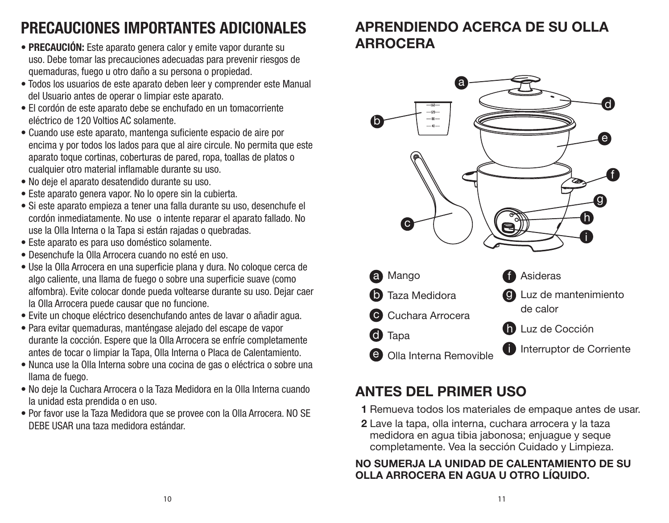# **PRECAUCIONES IMPORTANTES ADICIONALES**

- **PRECAUCIÓN:** Este aparato genera calor y emite vapor durante su uso. Debe tomar las precauciones adecuadas para prevenir riesgos de quemaduras, fuego u otro daño a su persona o propiedad.
- Todos los usuarios de este aparato deben leer y comprender este Manual del Usuario antes de operar o limpiar este aparato.
- El cordón de este aparato debe se enchufado en un tomacorriente eléctrico de 120 Voltios AC solamente.
- Cuando use este aparato, mantenga suficiente espacio de aire por encima y por todos los lados para que al aire circule. No permita que este aparato toque cortinas, coberturas de pared, ropa, toallas de platos o cualquier otro material inflamable durante su uso.
- No deje el aparato desatendido durante su uso.
- Este aparato genera vapor. No lo opere sin la cubierta.
- Si este aparato empieza a tener una falla durante su uso, desenchufe el cordón inmediatamente. No use o intente reparar el aparato fallado. No use la Olla Interna o la Tapa si están rajadas o quebradas.
- Este aparato es para uso doméstico solamente.
- Desenchufe la Olla Arrocera cuando no esté en uso.
- Use la Olla Arrocera en una superficie plana y dura. No coloque cerca de algo caliente, una llama de fuego o sobre una superficie suave (como alfombra). Evite colocar donde pueda voltearse durante su uso. Dejar caer la Olla Arrocera puede causar que no funcione.
- Evite un choque eléctrico desenchufando antes de lavar o añadir agua.
- Para evitar quemaduras, manténgase alejado del escape de vapor durante la cocción. Espere que la Olla Arrocera se enfríe completamente antes de tocar o limpiar la Tapa, Olla Interna o Placa de Calentamiento.
- Nunca use la Olla Interna sobre una cocina de gas o eléctrica o sobre una llama de fuego.
- No deje la Cuchara Arrocera o la Taza Medidora en la Olla Interna cuando la unidad esta prendida o en uso.
- Por favor use la Taza Medidora que se provee con la Olla Arrocera. NO SE DEBE USAR una taza medidora estándar.

## **APRENDIENDO ACERCA DE SU OLLA ARROCERA**



## **ANTES DEL PRIMER USO**

- **1** Remueva todos los materiales de empaque antes de usar.
- **2** Lave la tapa, olla interna, cuchara arrocera y la taza medidora en agua tibia jabonosa; enjuague y seque completamente. Vea la sección Cuidado y Limpieza.

### **NO SUMERJA LA UNIDAD DE CALENTAMIENTO DE SU OLLA ARROCERA EN AGUA U OTRO LÍQUIDO.**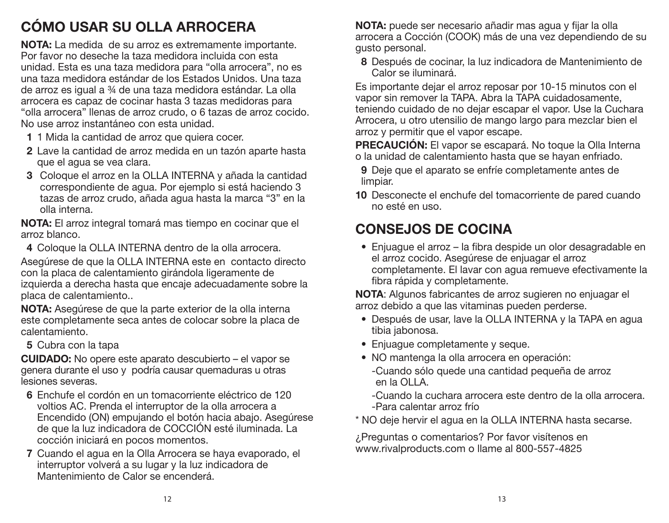# **CÓMO USAR SU OLLA ARROCERA**

**NOTA:** La medida de su arroz es extremamente importante. Por favor no deseche la taza medidora incluida con esta unidad. Esta es una taza medidora para "olla arrocera", no es una taza medidora estándar de los Estados Unidos. Una taza de arroz es igual a ¾ de una taza medidora estándar. La olla arrocera es capaz de cocinar hasta 3 tazas medidoras para "olla arrocera" llenas de arroz crudo, o 6 tazas de arroz cocido. No use arroz instantáneo con esta unidad.

- **1** 1 Mida la cantidad de arroz que quiera cocer.
- **2** Lave la cantidad de arroz medida en un tazón aparte hasta que el agua se vea clara.
- **3** Coloque el arroz en la OLLA INTERNA y añada la cantidad correspondiente de agua. Por ejemplo si está haciendo 3 tazas de arroz crudo, añada agua hasta la marca "3" en la olla interna.

**NOTA:** El arroz integral tomará mas tiempo en cocinar que el arroz blanco.

**4** Coloque la OLLA INTERNA dentro de la olla arrocera.

Asegúrese de que la OLLA INTERNA este en contacto directo con la placa de calentamiento girándola ligeramente de izquierda a derecha hasta que encaje adecuadamente sobre la placa de calentamiento..

**NOTA:** Asegúrese de que la parte exterior de la olla interna este completamente seca antes de colocar sobre la placa de calentamiento.

**5** Cubra con la tapa

**CUIDADO:** No opere este aparato descubierto – el vapor se genera durante el uso y podría causar quemaduras u otras lesiones severas.

- **6** Enchufe el cordón en un tomacorriente eléctrico de 120 voltios AC. Prenda el interruptor de la olla arrocera a Encendido (ON) empujando el botón hacia abajo. Asegúrese de que la luz indicadora de COCCIÓN esté iluminada. La cocción iniciará en pocos momentos.
- **7** Cuando el agua en la Olla Arrocera se haya evaporado, el interruptor volverá a su lugar y la luz indicadora de Mantenimiento de Calor se encenderá.

**NOTA:** puede ser necesario añadir mas agua y fijar la olla arrocera a Cocción (COOK) más de una vez dependiendo de su gusto personal.

**8** Después de cocinar, la luz indicadora de Mantenimiento de Calor se iluminará.

Es importante dejar el arroz reposar por 10-15 minutos con el vapor sin remover la TAPA. Abra la TAPA cuidadosamente, teniendo cuidado de no dejar escapar el vapor. Use la Cuchara Arrocera, u otro utensilio de mango largo para mezclar bien el arroz y permitir que el vapor escape.

**PRECAUCIÓN:** El vapor se escapará. No toque la Olla Interna o la unidad de calentamiento hasta que se hayan enfriado.

- **9** Deje que el aparato se enfríe completamente antes de limpiar.
- **10** Desconecte el enchufe del tomacorriente de pared cuando no esté en uso.

# **CONSEJOS DE COCINA**

• Enjuague el arroz – la fibra despide un olor desagradable en el arroz cocido. Asegúrese de enjuagar el arroz completamente. El lavar con agua remueve efectivamente la fibra rápida y completamente.

**NOTA**: Algunos fabricantes de arroz sugieren no enjuagar el arroz debido a que las vitaminas pueden perderse.

- Después de usar, lave la OLLA INTERNA y la TAPA en agua tibia jabonosa.
- Enjuague completamente y seque.
- NO mantenga la olla arrocera en operación:
	- -Cuando sólo quede una cantidad pequeña de arroz en la OLLA.

-Cuando la cuchara arrocera este dentro de la olla arrocera. -Para calentar arroz frío

\* NO deje hervir el agua en la OLLA INTERNA hasta secarse.

¿Preguntas o comentarios? Por favor visítenos en www.rivalproducts.com o llame al 800-557-4825